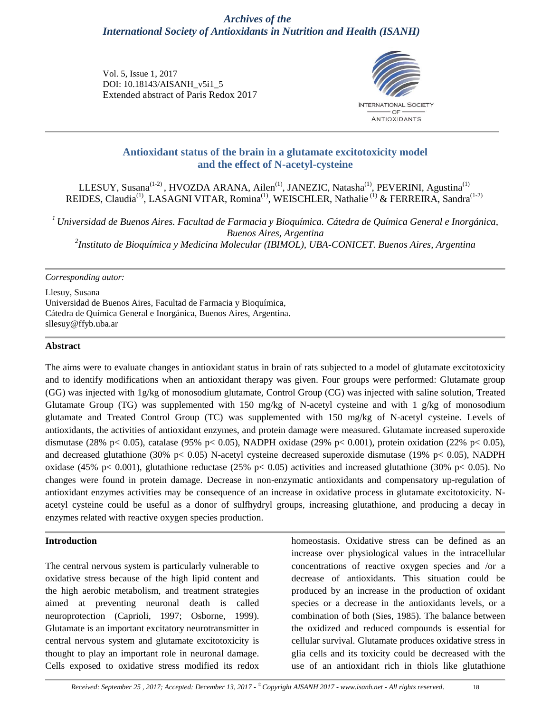# *Archives of the International Society of Antioxidants in Nutrition and Health (ISANH)*

Vol. 5, Issue 1, 2017 DOI: 10.18143/AISANH\_v5i1\_5 Extended abstract of Paris Redox 2017



## **Antioxidant status of the brain in a glutamate excitotoxicity model and the effect of N-acetyl-cysteine**

LLESUY, Susana<sup>(1-2)</sup>, HVOZDA ARANA, Ailen<sup>(1)</sup>, JANEZIC, Natasha<sup>(1)</sup>, PEVERINI, Agustina<sup>(1)</sup> REIDES, Claudia<sup>(1)</sup>, LASAGNI VITAR, Romina<sup>(1)</sup>, WEISCHLER, Nathalie<sup>(1)</sup> & FERREIRA, Sandra<sup>(1-2)</sup>

*<sup>1</sup>Universidad de Buenos Aires. Facultad de Farmacia y Bioquímica. Cátedra de Química General e Inorgánica, Buenos Aires, Argentina 2 Instituto de Bioquímica y Medicina Molecular (IBIMOL), UBA-CONICET. Buenos Aires, Argentina*

#### *Corresponding autor:*

Llesuy, Susana Universidad de Buenos Aires, Facultad de Farmacia y Bioquímica, Cátedra de Química General e Inorgánica, Buenos Aires, Argentina. sllesuy@ffyb.uba.ar

#### **Abstract**

The aims were to evaluate changes in antioxidant status in brain of rats subjected to a model of glutamate excitotoxicity and to identify modifications when an antioxidant therapy was given. Four groups were performed: Glutamate group (GG) was injected with 1g/kg of monosodium glutamate, Control Group (CG) was injected with saline solution, Treated Glutamate Group (TG) was supplemented with 150 mg/kg of N-acetyl cysteine and with 1 g/kg of monosodium glutamate and Treated Control Group (TC) was supplemented with 150 mg/kg of N-acetyl cysteine. Levels of antioxidants, the activities of antioxidant enzymes, and protein damage were measured. Glutamate increased superoxide dismutase (28% p< 0.05), catalase (95% p< 0.05), NADPH oxidase (29% p< 0.001), protein oxidation (22% p< 0.05), and decreased glutathione (30% p< 0.05) N-acetyl cysteine decreased superoxide dismutase (19% p< 0.05), NADPH oxidase (45% p< 0.001), glutathione reductase (25% p< 0.05) activities and increased glutathione (30% p< 0.05). No changes were found in protein damage. Decrease in non-enzymatic antioxidants and compensatory up-regulation of antioxidant enzymes activities may be consequence of an increase in oxidative process in glutamate excitotoxicity. Nacetyl cysteine could be useful as a donor of sulfhydryl groups, increasing glutathione, and producing a decay in enzymes related with reactive oxygen species production.

#### **Introduction**

The central nervous system is particularly vulnerable to oxidative stress because of the high lipid content and the high aerobic metabolism, and treatment strategies aimed at preventing neuronal death is called neuroprotection (Caprioli, 1997; Osborne, 1999). Glutamate is an important excitatory neurotransmitter in central nervous system and glutamate excitotoxicity is thought to play an important role in neuronal damage. Cells exposed to oxidative stress modified its redox

homeostasis. Oxidative stress can be defined as an increase over physiological values in the intracellular concentrations of reactive oxygen species and /or a decrease of antioxidants. This situation could be produced by an increase in the production of oxidant species or a decrease in the antioxidants levels, or a combination of both (Sies, 1985). The balance between the oxidized and reduced compounds is essential for cellular survival. Glutamate produces oxidative stress in glia cells and its toxicity could be decreased with the use of an antioxidant rich in thiols like glutathione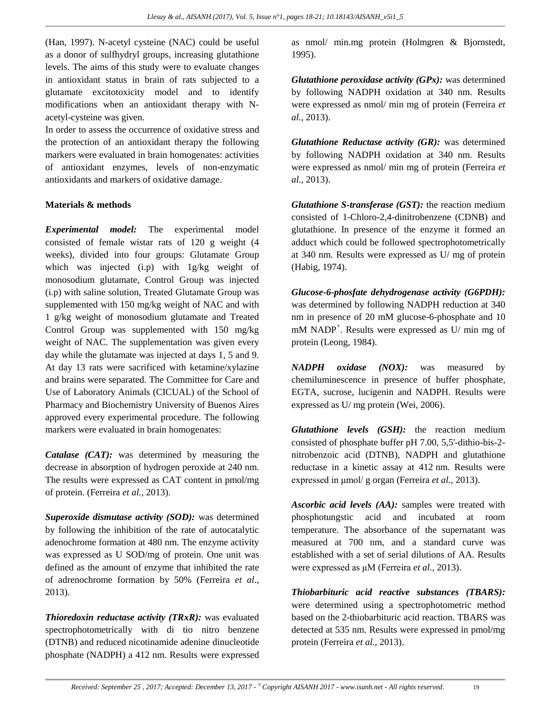(Han, 1997). N-acetyl cysteine (NAC) could be useful as a donor of sulfhydryl groups, increasing glutathione levels. The aims of this study were to evaluate changes in antioxidant status in brain of rats subjected to a glutamate excitotoxicity model and to identify modifications when an antioxidant therapy with Nacetyl-cysteine was given.

In order to assess the occurrence of oxidative stress and the protection of an antioxidant therapy the following markers were evaluated in brain homogenates: activities of antioxidant enzymes, levels of non-enzymatic antioxidants and markers of oxidative damage.

## **Materials & methods**

*Experimental model:* The experimental model consisted of female wistar rats of 120 g weight (4 weeks), divided into four groups: Glutamate Group which was injected (i.p) with 1g/kg weight of monosodium glutamate, Control Group was injected (i.p) with saline solution, Treated Glutamate Group was supplemented with 150 mg/kg weight of NAC and with 1 g/kg weight of monosodium glutamate and Treated Control Group was supplemented with 150 mg/kg weight of NAC. The supplementation was given every day while the glutamate was injected at days 1, 5 and 9. At day 13 rats were sacrificed with ketamine/xylazine and brains were separated. The Committee for Care and Use of Laboratory Animals (CICUAL) of the School of Pharmacy and Biochemistry University of Buenos Aires approved every experimental procedure. The following markers were evaluated in brain homogenates:

*Catalase (CAT):* was determined by measuring the decrease in absorption of hydrogen peroxide at 240 nm. The results were expressed as CAT content in pmol/mg of protein. (Ferreira *et al.,* 2013).

*Superoxide dismutase activity (SOD):* was determined by following the inhibition of the rate of autocatalytic adenochrome formation at 480 nm. The enzyme activity was expressed as U SOD/mg of protein. One unit was defined as the amount of enzyme that inhibited the rate of adrenochrome formation by 50% (Ferreira *et al*., 2013).

*Thioredoxin reductase activity (TRxR):* was evaluated spectrophotometrically with di tio nitro benzene (DTNB) and reduced nicotinamide adenine dinucleotide phosphate (NADPH) a 412 nm. Results were expressed as nmol/ min.mg protein (Holmgren & Bjornstedt, 1995).

*Glutathione peroxidase activity (GPx):* was determined by following NADPH oxidation at 340 nm. Results were expressed as nmol/ min mg of protein (Ferreira *et al.,* 2013).

*Glutathione Reductase activity (GR):* was determined by following NADPH oxidation at 340 nm. Results were expressed as nmol/ min mg of protein (Ferreira *et al*., 2013).

*Glutathione S-transferase (GST):* the reaction medium consisted of 1-Chloro-2,4-dinitrobenzene (CDNB) and glutathione. In presence of the enzyme it formed an adduct which could be followed spectrophotometrically at 340 nm. Results were expressed as U/ mg of protein (Habig, 1974).

*Glucose-6-phosfate dehydrogenase activity (G6PDH):* was determined by following NADPH reduction at 340 nm in presence of 20 mM glucose-6-phosphate and 10 mM NADP<sup>+</sup>. Results were expressed as U/ min mg of protein (Leong, 1984).

*NADPH oxidase (NOX):* was measured by chemiluminescence in presence of buffer phosphate, EGTA, sucrose, lucigenin and NADPH. Results were expressed as U/ mg protein (Wei, 2006).

*Glutathione levels (GSH):* the reaction medium consisted of phosphate buffer pH 7.00, 5,5'-dithio-bis-2 nitrobenzoic acid (DTNB), NADPH and glutathione reductase in a kinetic assay at 412 nm. Results were expressed in μmol/ g organ (Ferreira *et al.,* 2013).

*Ascorbic acid levels (AA):* samples were treated with phosphotungstic acid and incubated at room temperature. The absorbance of the supernatant was measured at 700 nm, and a standard curve was established with a set of serial dilutions of AA. Results were expressed as μM (Ferreira *et al.,* 2013).

*Thiobarbituric acid reactive substances (TBARS):* were determined using a spectrophotometric method based on the 2-thiobarbituric acid reaction. TBARS was detected at 535 nm. Results were expressed in pmol/mg protein (Ferreira *et al.,* 2013).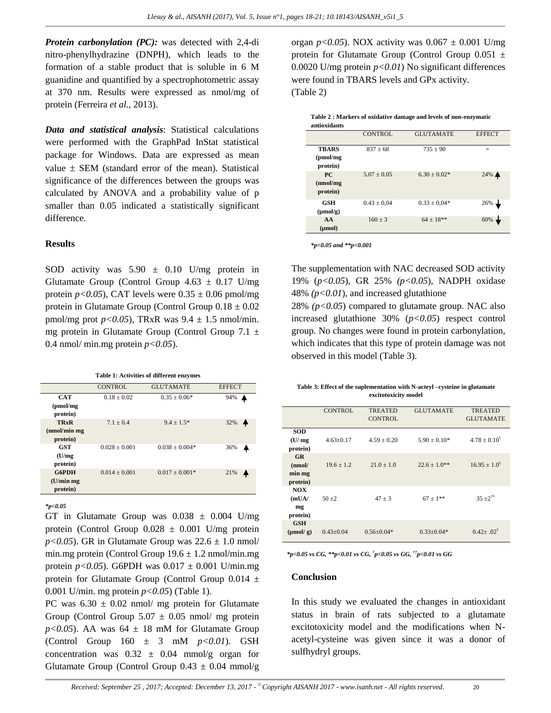*Protein carbonylation (PC):* was detected with 2,4-di nitro-phenylhydrazine (DNPH), which leads to the formation of a stable product that is soluble in 6 M guanidine and quantified by a spectrophotometric assay at 370 nm. Results were expressed as nmol/mg of protein (Ferreira *et al.,* 2013).

*Data and statistical analysis*: Statistical calculations were performed with the GraphPad InStat statistical package for Windows. Data are expressed as mean value  $\pm$  SEM (standard error of the mean). Statistical significance of the differences between the groups was calculated by ANOVA and a probability value of p smaller than 0.05 indicated a statistically significant difference.

#### **Results**

SOD activity was  $5.90 \pm 0.10$  U/mg protein in Glutamate Group (Control Group  $4.63 \pm 0.17$  U/mg protein  $p < 0.05$ ), CAT levels were  $0.35 \pm 0.06$  pmol/mg protein in Glutamate Group (Control Group  $0.18 \pm 0.02$ ) pmol/mg prot  $p < 0.05$ ), TRxR was  $9.4 \pm 1.5$  nmol/min. mg protein in Glutamate Group (Control Group 7.1 ± 0.4 nmol/ min.mg protein  $p < 0.05$ ).

**Table 1: Activities of different enzymes**

|                                        | <b>CONTROL</b>  | <b>GLUTAMATE</b> | <b>EFFECT</b> |
|----------------------------------------|-----------------|------------------|---------------|
| <b>CAT</b><br>(pmol/mg)<br>protein)    | $0.18 + 0.02$   | $0.35 + 0.06*$   | 94%           |
| <b>TRxR</b><br>(mmol/min)<br>protein)  | $7.1 + 0.4$     | $9.4 + 1.5*$     | 32%<br>♠      |
| <b>GST</b><br>(U/mg)<br>protein)       | $0.028 + 0.001$ | $0.038 + 0.004*$ | 36%           |
| <b>G6PDH</b><br>(U/min mg)<br>protein) | $0.014 + 0.001$ | $0.017 + 0.001*$ | 21%           |

*\*p<0.05*

GT in Glutamate Group was  $0.038 \pm 0.004$  U/mg protein (Control Group  $0.028 \pm 0.001$  U/mg protein *p*<0.05). GR in Glutamate Group was  $22.6 \pm 1.0$  nmol/ min.mg protein (Control Group  $19.6 \pm 1.2$  nmol/min.mg) protein *p*<0.05). G6PDH was  $0.017 \pm 0.001$  U/min.mg protein for Glutamate Group (Control Group 0.014 ± 0.001 U/min. mg protein *p<0.05*) (Table 1).

PC was  $6.30 \pm 0.02$  nmol/ mg protein for Glutamate Group (Control Group  $5.07 \pm 0.05$  nmol/ mg protein  $p$ <0.05). AA was 64  $\pm$  18 mM for Glutamate Group (Control Group  $160 \pm 3$  mM  $p < 0.01$ ). GSH concentration was  $0.32 \pm 0.04$  mmol/g organ for Glutamate Group (Control Group  $0.43 \pm 0.04$  mmol/g

organ  $p < 0.05$ ). NOX activity was  $0.067 \pm 0.001$  U/mg protein for Glutamate Group (Control Group  $0.051 \pm$ 0.0020 U/mg protein *p<0.01*) No significant differences were found in TBARS levels and GPx activity. (Table 2)

| Table 2 : Markers of oxidative damage and levels of non-enzymatic |
|-------------------------------------------------------------------|
| antioxidants                                                      |

| <b>CONTROL</b>  | <b>GLUTAMATE</b> | <b>EFFECT</b> |
|-----------------|------------------|---------------|
| $837 \pm 68$    | $735 \pm 90$     |               |
| $5.07 \pm 0.05$ | $6.30 + 0.02*$   | 24% ▲         |
| $0.43 \pm 0.04$ | $0.33 \pm 0.04*$ | 26%           |
| $160 + 3$       | $64 + 18**$      | 60%           |
|                 |                  |               |

*\*p<0.05 and \*\*p<0.001*

The supplementation with NAC decreased SOD activity 19% (*p<0.05*), GR 25% *(p<0.05*), NADPH oxidase 48% *(p<0.01*), and increased glutathione

28%  $(p<0.05)$  compared to glutamate group. NAC also increased glutathione 30% (*p<0.05*) respect control group. No changes were found in protein carbonylation, which indicates that this type of protein damage was not observed in this model (Table 3).

| Table 3: Effect of the suplementation with N-acteyl –cysteine in glutamate |  |  |  |  |
|----------------------------------------------------------------------------|--|--|--|--|
| excitotoxicity model                                                       |  |  |  |  |

|                      | <b>CONTROL</b> | <b>TREATED</b><br><b>CONTROL</b> | <b>GLUTAMATE</b> | <b>TREATED</b><br><b>GLUTAMATE</b> |
|----------------------|----------------|----------------------------------|------------------|------------------------------------|
|                      |                |                                  |                  |                                    |
| <b>SOD</b>           |                |                                  |                  |                                    |
| (U/mg)               | $4.63+0.17$    | $4.59 + 0.20$                    | $5.90 + 0.10*$   | $4.78 + 0.10^{\dagger}$            |
| protein)             |                |                                  |                  |                                    |
| <b>GR</b>            |                |                                  |                  |                                    |
| (mmol)               | $19.6 + 1.2$   | $21.0 + 1.0$                     | $22.6 + 1.0**$   | $16.95 + 1.0^{\dagger}$            |
| min mg               |                |                                  |                  |                                    |
| protein)             |                |                                  |                  |                                    |
| NOX.                 |                |                                  |                  |                                    |
| (mUA)                | $50 + 2$       | $47 + 3$                         | $67 \pm 1***$    | $35 + 2^{\dagger\dagger}$          |
| mg                   |                |                                  |                  |                                    |
| protein)             |                |                                  |                  |                                    |
| <b>GSH</b>           |                |                                  |                  |                                    |
| $(\mu \text{mol}/g)$ | $0.43 + 0.04$  | $0.56 + 0.04*$                   | $0.33+0.04*$     | $0.42 + 0.02^{\dagger}$            |
|                      |                |                                  |                  |                                    |

*\*p<0.05 vs CG, \*\*p<0.01 vs CG, † p<0.05 vs GG, ††p<0.01 vs GG*

#### **Conclusion**

In this study we evaluated the changes in antioxidant status in brain of rats subjected to a glutamate excitotoxicity model and the modifications when Nacetyl-cysteine was given since it was a donor of sulfhydryl groups.